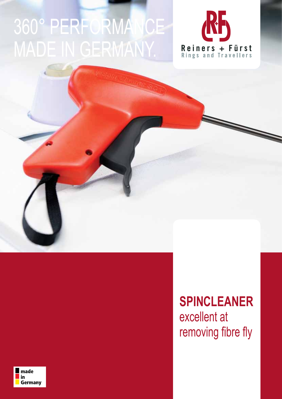## 360° PERFORMANCE MADE IN GERMANY.





**SPINCLEANER** excellent at removing fibre fly